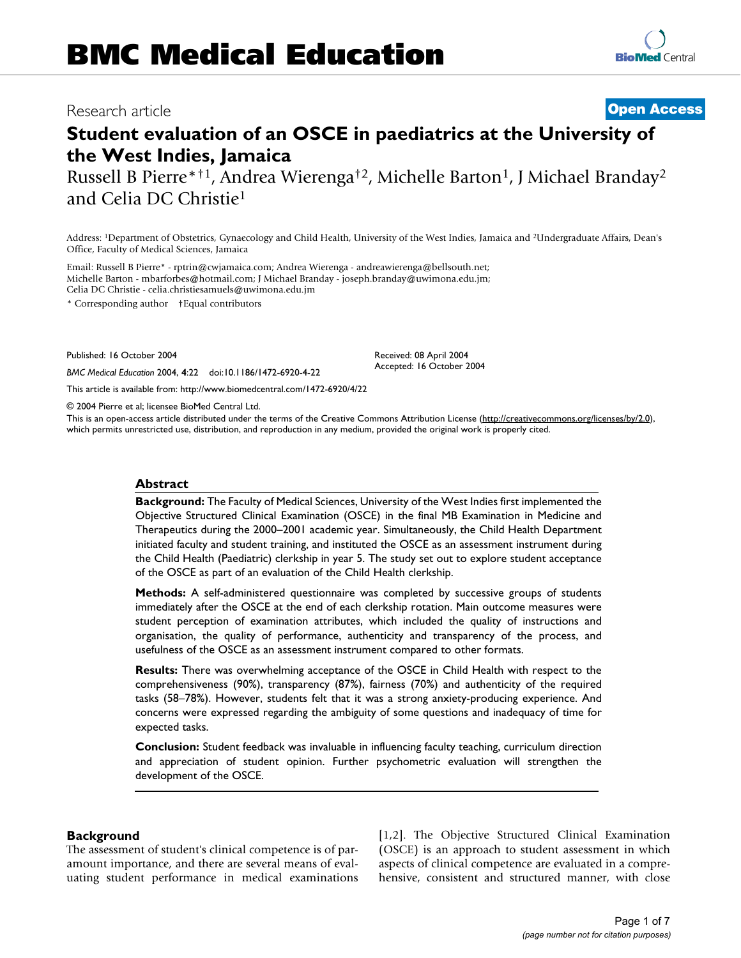# Research article **[Open Access](http://www.biomedcentral.com/info/about/charter/)**

# **Student evaluation of an OSCE in paediatrics at the University of the West Indies, Jamaica**

Russell B Pierre\*†1, Andrea Wierenga†2, Michelle Barton1, J Michael Branday2 and Celia DC Christie1

Address: 1Department of Obstetrics, Gynaecology and Child Health, University of the West Indies, Jamaica and 2Undergraduate Affairs, Dean's Office, Faculty of Medical Sciences, Jamaica

Email: Russell B Pierre\* - rptrin@cwjamaica.com; Andrea Wierenga - andreawierenga@bellsouth.net; Michelle Barton - mbarforbes@hotmail.com; J Michael Branday - joseph.branday@uwimona.edu.jm; Celia DC Christie - celia.christiesamuels@uwimona.edu.jm

\* Corresponding author †Equal contributors

Published: 16 October 2004

*BMC Medical Education* 2004, **4**:22 doi:10.1186/1472-6920-4-22

[This article is available from: http://www.biomedcentral.com/1472-6920/4/22](http://www.biomedcentral.com/1472-6920/4/22)

© 2004 Pierre et al; licensee BioMed Central Ltd.

This is an open-access article distributed under the terms of the Creative Commons Attribution License (<http://creativecommons.org/licenses/by/2.0>), which permits unrestricted use, distribution, and reproduction in any medium, provided the original work is properly cited.

Received: 08 April 2004 Accepted: 16 October 2004

#### **Abstract**

**Background:** The Faculty of Medical Sciences, University of the West Indies first implemented the Objective Structured Clinical Examination (OSCE) in the final MB Examination in Medicine and Therapeutics during the 2000–2001 academic year. Simultaneously, the Child Health Department initiated faculty and student training, and instituted the OSCE as an assessment instrument during the Child Health (Paediatric) clerkship in year 5. The study set out to explore student acceptance of the OSCE as part of an evaluation of the Child Health clerkship.

**Methods:** A self-administered questionnaire was completed by successive groups of students immediately after the OSCE at the end of each clerkship rotation. Main outcome measures were student perception of examination attributes, which included the quality of instructions and organisation, the quality of performance, authenticity and transparency of the process, and usefulness of the OSCE as an assessment instrument compared to other formats.

**Results:** There was overwhelming acceptance of the OSCE in Child Health with respect to the comprehensiveness (90%), transparency (87%), fairness (70%) and authenticity of the required tasks (58–78%). However, students felt that it was a strong anxiety-producing experience. And concerns were expressed regarding the ambiguity of some questions and inadequacy of time for expected tasks.

**Conclusion:** Student feedback was invaluable in influencing faculty teaching, curriculum direction and appreciation of student opinion. Further psychometric evaluation will strengthen the development of the OSCE.

#### **Background**

The assessment of student's clinical competence is of paramount importance, and there are several means of evaluating student performance in medical examinations [1,2]. The Objective Structured Clinical Examination (OSCE) is an approach to student assessment in which aspects of clinical competence are evaluated in a comprehensive, consistent and structured manner, with close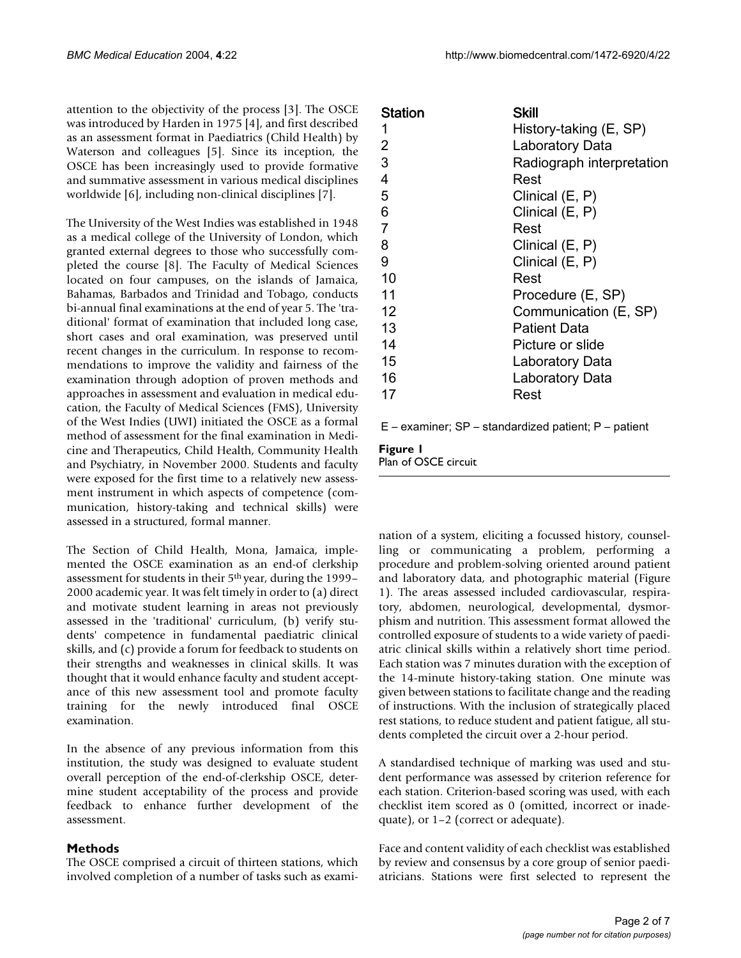attention to the objectivity of the process [3]. The OSCE was introduced by Harden in 1975 [4], and first described as an assessment format in Paediatrics (Child Health) by Waterson and colleagues [5]. Since its inception, the OSCE has been increasingly used to provide formative and summative assessment in various medical disciplines worldwide [6], including non-clinical disciplines [7].

The University of the West Indies was established in 1948 as a medical college of the University of London, which granted external degrees to those who successfully completed the course [8]. The Faculty of Medical Sciences located on four campuses, on the islands of Jamaica, Bahamas, Barbados and Trinidad and Tobago, conducts bi-annual final examinations at the end of year 5. The 'traditional' format of examination that included long case, short cases and oral examination, was preserved until recent changes in the curriculum. In response to recommendations to improve the validity and fairness of the examination through adoption of proven methods and approaches in assessment and evaluation in medical education, the Faculty of Medical Sciences (FMS), University of the West Indies (UWI) initiated the OSCE as a formal method of assessment for the final examination in Medicine and Therapeutics, Child Health, Community Health and Psychiatry, in November 2000. Students and faculty were exposed for the first time to a relatively new assessment instrument in which aspects of competence (communication, history-taking and technical skills) were assessed in a structured, formal manner.

The Section of Child Health, Mona, Jamaica, implemented the OSCE examination as an end-of clerkship assessment for students in their 5th year, during the 1999– 2000 academic year. It was felt timely in order to (a) direct and motivate student learning in areas not previously assessed in the 'traditional' curriculum, (b) verify students' competence in fundamental paediatric clinical skills, and (c) provide a forum for feedback to students on their strengths and weaknesses in clinical skills. It was thought that it would enhance faculty and student acceptance of this new assessment tool and promote faculty training for the newly introduced final OSCE examination.

In the absence of any previous information from this institution, the study was designed to evaluate student overall perception of the end-of-clerkship OSCE, determine student acceptability of the process and provide feedback to enhance further development of the assessment.

## **Methods**

The OSCE comprised a circuit of thirteen stations, which involved completion of a number of tasks such as exami-

| <b>Station</b> | <b>Skill</b>                                         |
|----------------|------------------------------------------------------|
| 1              | History-taking (E, SP)                               |
| 2              | Laboratory Data                                      |
| 3              | Radiograph interpretation                            |
| 4              | Rest                                                 |
| 5              | Clinical (E, P)                                      |
| 6              | Clinical (E, P)                                      |
| $\overline{7}$ | Rest                                                 |
| 8              | Clinical (E, P)                                      |
| 9              | Clinical (E, P)                                      |
| 10             | Rest                                                 |
| 11             | Procedure (E, SP)                                    |
| 12             | Communication (E, SP)                                |
| 13             | Patient Data                                         |
| 14             | Picture or slide                                     |
| 15             | Laboratory Data                                      |
| 16             | Laboratory Data                                      |
| 17             | Rest                                                 |
|                | E – examiner; SP – standardized patient; P – patient |

#### **Figure 1** Plan of OSCE circuit

nation of a system, eliciting a focussed history, counselling or communicating a problem, performing a procedure and problem-solving oriented around patient and laboratory data, and photographic material (Figure 1). The areas assessed included cardiovascular, respiratory, abdomen, neurological, developmental, dysmorphism and nutrition. This assessment format allowed the controlled exposure of students to a wide variety of paediatric clinical skills within a relatively short time period. Each station was 7 minutes duration with the exception of the 14-minute history-taking station. One minute was given between stations to facilitate change and the reading of instructions. With the inclusion of strategically placed rest stations, to reduce student and patient fatigue, all students completed the circuit over a 2-hour period.

A standardised technique of marking was used and student performance was assessed by criterion reference for each station. Criterion-based scoring was used, with each checklist item scored as 0 (omitted, incorrect or inadequate), or 1–2 (correct or adequate).

Face and content validity of each checklist was established by review and consensus by a core group of senior paediatricians. Stations were first selected to represent the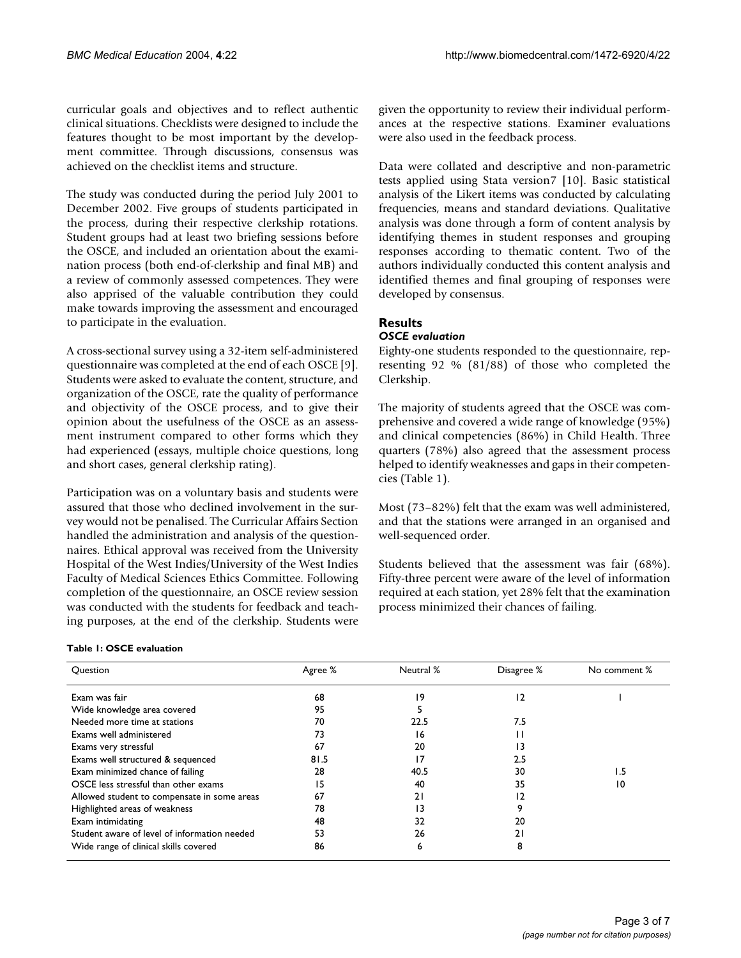curricular goals and objectives and to reflect authentic clinical situations. Checklists were designed to include the features thought to be most important by the development committee. Through discussions, consensus was achieved on the checklist items and structure.

The study was conducted during the period July 2001 to December 2002. Five groups of students participated in the process, during their respective clerkship rotations. Student groups had at least two briefing sessions before the OSCE, and included an orientation about the examination process (both end-of-clerkship and final MB) and a review of commonly assessed competences. They were also apprised of the valuable contribution they could make towards improving the assessment and encouraged to participate in the evaluation.

A cross-sectional survey using a 32-item self-administered questionnaire was completed at the end of each OSCE [9]. Students were asked to evaluate the content, structure, and organization of the OSCE, rate the quality of performance and objectivity of the OSCE process, and to give their opinion about the usefulness of the OSCE as an assessment instrument compared to other forms which they had experienced (essays, multiple choice questions, long and short cases, general clerkship rating).

Participation was on a voluntary basis and students were assured that those who declined involvement in the survey would not be penalised. The Curricular Affairs Section handled the administration and analysis of the questionnaires. Ethical approval was received from the University Hospital of the West Indies/University of the West Indies Faculty of Medical Sciences Ethics Committee. Following completion of the questionnaire, an OSCE review session was conducted with the students for feedback and teaching purposes, at the end of the clerkship. Students were

#### <span id="page-2-0"></span>**Table 1: OSCE evaluation**

given the opportunity to review their individual performances at the respective stations. Examiner evaluations were also used in the feedback process.

Data were collated and descriptive and non-parametric tests applied using Stata version7 [10]. Basic statistical analysis of the Likert items was conducted by calculating frequencies, means and standard deviations. Qualitative analysis was done through a form of content analysis by identifying themes in student responses and grouping responses according to thematic content. Two of the authors individually conducted this content analysis and identified themes and final grouping of responses were developed by consensus.

# **Results**

# *OSCE evaluation*

Eighty-one students responded to the questionnaire, representing 92 % (81/88) of those who completed the Clerkship.

The majority of students agreed that the OSCE was comprehensive and covered a wide range of knowledge (95%) and clinical competencies (86%) in Child Health. Three quarters (78%) also agreed that the assessment process helped to identify weaknesses and gaps in their competencies (Table [1\)](#page-2-0).

Most (73–82%) felt that the exam was well administered, and that the stations were arranged in an organised and well-sequenced order.

Students believed that the assessment was fair (68%). Fifty-three percent were aware of the level of information required at each station, yet 28% felt that the examination process minimized their chances of failing.

| Question                                     | Agree % | Neutral % | Disagree % | No comment % |
|----------------------------------------------|---------|-----------|------------|--------------|
| Exam was fair                                | 68      | ۱9        | 12         |              |
| Wide knowledge area covered                  | 95      |           |            |              |
| Needed more time at stations                 | 70      | 22.5      | 7.5        |              |
| Exams well administered                      | 73      | 16        | н          |              |
| Exams very stressful                         | 67      | 20        | 13         |              |
| Exams well structured & sequenced            | 81.5    | 17        | 2.5        |              |
| Exam minimized chance of failing             | 28      | 40.5      | 30         | 1.5          |
| OSCE less stressful than other exams         | 15      | 40        | 35         | 10           |
| Allowed student to compensate in some areas  | 67      | 21        | 12         |              |
| Highlighted areas of weakness                | 78      | 13        | 9          |              |
| Exam intimidating                            | 48      | 32        | 20         |              |
| Student aware of level of information needed | 53      | 26        | 21         |              |
| Wide range of clinical skills covered        | 86      | ь         | 8          |              |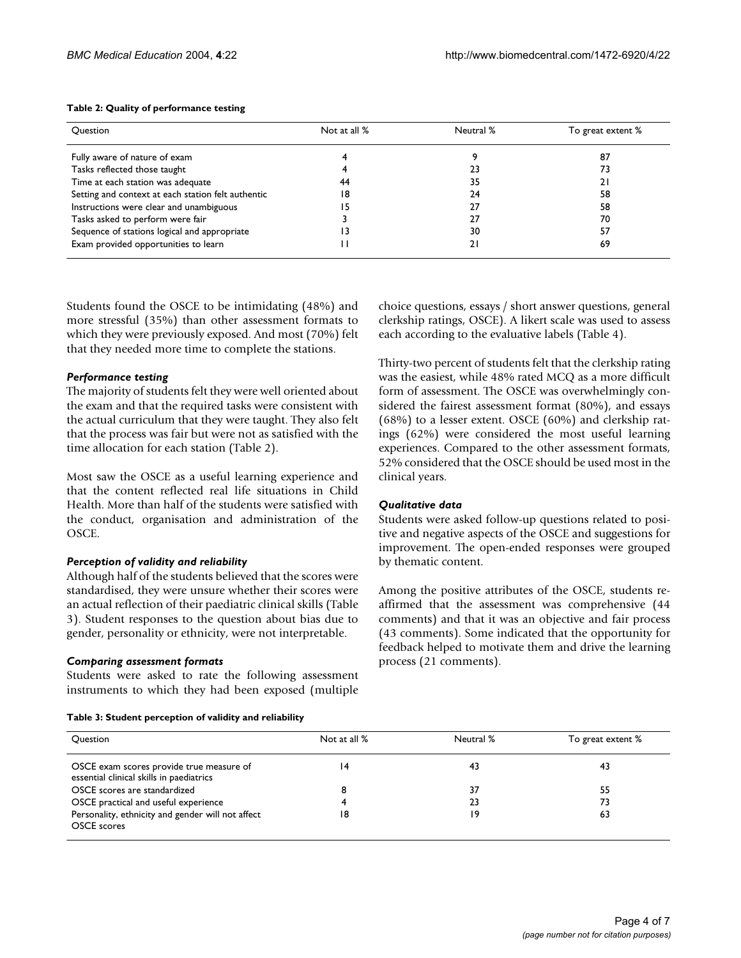| <b>Ouestion</b>                                    | Not at all % | Neutral % | To great extent % |
|----------------------------------------------------|--------------|-----------|-------------------|
| Fully aware of nature of exam                      |              |           | 87                |
| Tasks reflected those taught                       |              | 23        | 73                |
| Time at each station was adequate                  | 44           | 35        | 21                |
| Setting and context at each station felt authentic | 18           | 24        | 58                |
| Instructions were clear and unambiguous            | 15           | 27        | 58                |
| Tasks asked to perform were fair                   |              | 27        | 70                |
| Sequence of stations logical and appropriate       | 13           | 30        | 57                |
| Exam provided opportunities to learn               |              | 21        | 69                |

#### <span id="page-3-0"></span>**Table 2: Quality of performance testing**

Students found the OSCE to be intimidating (48%) and more stressful (35%) than other assessment formats to which they were previously exposed. And most (70%) felt that they needed more time to complete the stations.

#### *Performance testing*

The majority of students felt they were well oriented about the exam and that the required tasks were consistent with the actual curriculum that they were taught. They also felt that the process was fair but were not as satisfied with the time allocation for each station (Table [2\)](#page-3-0).

Most saw the OSCE as a useful learning experience and that the content reflected real life situations in Child Health. More than half of the students were satisfied with the conduct, organisation and administration of the OSCE.

#### *Perception of validity and reliability*

Although half of the students believed that the scores were standardised, they were unsure whether their scores were an actual reflection of their paediatric clinical skills (Table [3\)](#page-3-1). Student responses to the question about bias due to gender, personality or ethnicity, were not interpretable.

#### *Comparing assessment formats*

Students were asked to rate the following assessment instruments to which they had been exposed (multiple

#### <span id="page-3-1"></span>**Table 3: Student perception of validity and reliability**

choice questions, essays / short answer questions, general clerkship ratings, OSCE). A likert scale was used to assess each according to the evaluative labels (Table [4\)](#page-4-0).

Thirty-two percent of students felt that the clerkship rating was the easiest, while 48% rated MCQ as a more difficult form of assessment. The OSCE was overwhelmingly considered the fairest assessment format (80%), and essays (68%) to a lesser extent. OSCE (60%) and clerkship ratings (62%) were considered the most useful learning experiences. Compared to the other assessment formats, 52% considered that the OSCE should be used most in the clinical years.

#### *Qualitative data*

Students were asked follow-up questions related to positive and negative aspects of the OSCE and suggestions for improvement. The open-ended responses were grouped by thematic content.

Among the positive attributes of the OSCE, students reaffirmed that the assessment was comprehensive (44 comments) and that it was an objective and fair process (43 comments). Some indicated that the opportunity for feedback helped to motivate them and drive the learning process (21 comments).

| Question                                                                             | Not at all % | Neutral % | To great extent % |
|--------------------------------------------------------------------------------------|--------------|-----------|-------------------|
| OSCE exam scores provide true measure of<br>essential clinical skills in paediatrics | 14           | 43        | 43                |
| OSCE scores are standardized                                                         | 8            | 37        | 55                |
| OSCE practical and useful experience                                                 |              | 23        | 73                |
| Personality, ethnicity and gender will not affect<br>OSCE scores                     | 18           | ۱9        | 63                |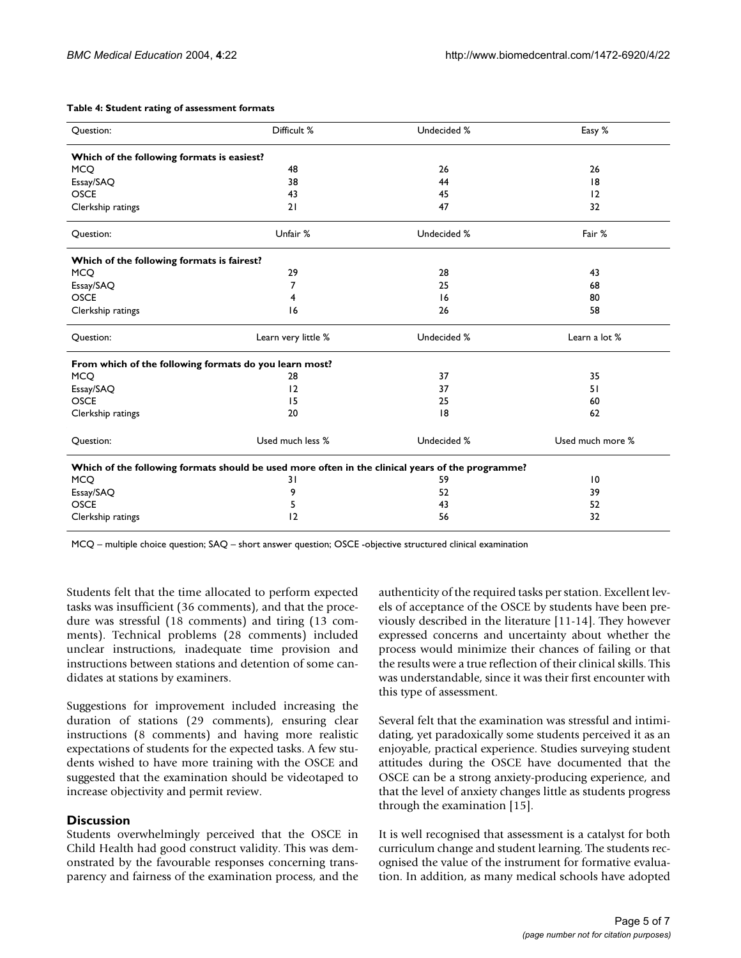| Question:                                  | Difficult %                                                                                      | Undecided % | Easy %           |
|--------------------------------------------|--------------------------------------------------------------------------------------------------|-------------|------------------|
| Which of the following formats is easiest? |                                                                                                  |             |                  |
| <b>MCO</b>                                 | 48                                                                                               | 26          | 26               |
| Essay/SAQ                                  | 38                                                                                               | 44          | 8                |
| <b>OSCE</b>                                | 43                                                                                               | 45          | 12               |
| Clerkship ratings                          | 21                                                                                               | 47          | 32               |
| Question:                                  | Unfair %                                                                                         | Undecided % | Fair %           |
| Which of the following formats is fairest? |                                                                                                  |             |                  |
| <b>MCQ</b>                                 | 29                                                                                               | 28          | 43               |
| Essay/SAQ                                  | 7                                                                                                | 25          | 68               |
| <b>OSCE</b>                                | 4                                                                                                | 16          | 80               |
| Clerkship ratings                          | 16                                                                                               | 26          | 58               |
| Question:                                  | Learn very little %                                                                              | Undecided % | Learn a lot %    |
|                                            | From which of the following formats do you learn most?                                           |             |                  |
| <b>MCQ</b>                                 | 28                                                                                               | 37          | 35               |
| Essay/SAQ                                  | 12                                                                                               | 37          | 51               |
| <b>OSCE</b>                                | 15                                                                                               | 25          | 60               |
| Clerkship ratings                          | 20                                                                                               | 8           | 62               |
| Question:                                  | Used much less %                                                                                 | Undecided % | Used much more % |
|                                            | Which of the following formats should be used more often in the clinical years of the programme? |             |                  |
| <b>MCQ</b>                                 | 31                                                                                               | 59          | $\overline{10}$  |
| Essay/SAQ                                  | 9                                                                                                | 52          | 39               |
| <b>OSCE</b>                                | 5                                                                                                | 43          | 52               |
| Clerkship ratings                          | 12                                                                                               | 56          | 32               |

#### <span id="page-4-0"></span>**Table 4: Student rating of assessment formats**

MCQ – multiple choice question; SAQ – short answer question; OSCE -objective structured clinical examination

Students felt that the time allocated to perform expected tasks was insufficient (36 comments), and that the procedure was stressful (18 comments) and tiring (13 comments). Technical problems (28 comments) included unclear instructions, inadequate time provision and instructions between stations and detention of some candidates at stations by examiners.

Suggestions for improvement included increasing the duration of stations (29 comments), ensuring clear instructions (8 comments) and having more realistic expectations of students for the expected tasks. A few students wished to have more training with the OSCE and suggested that the examination should be videotaped to increase objectivity and permit review.

### **Discussion**

Students overwhelmingly perceived that the OSCE in Child Health had good construct validity. This was demonstrated by the favourable responses concerning transparency and fairness of the examination process, and the authenticity of the required tasks per station. Excellent levels of acceptance of the OSCE by students have been previously described in the literature [11-14]. They however expressed concerns and uncertainty about whether the process would minimize their chances of failing or that the results were a true reflection of their clinical skills. This was understandable, since it was their first encounter with this type of assessment.

Several felt that the examination was stressful and intimidating, yet paradoxically some students perceived it as an enjoyable, practical experience. Studies surveying student attitudes during the OSCE have documented that the OSCE can be a strong anxiety-producing experience, and that the level of anxiety changes little as students progress through the examination [15].

It is well recognised that assessment is a catalyst for both curriculum change and student learning. The students recognised the value of the instrument for formative evaluation. In addition, as many medical schools have adopted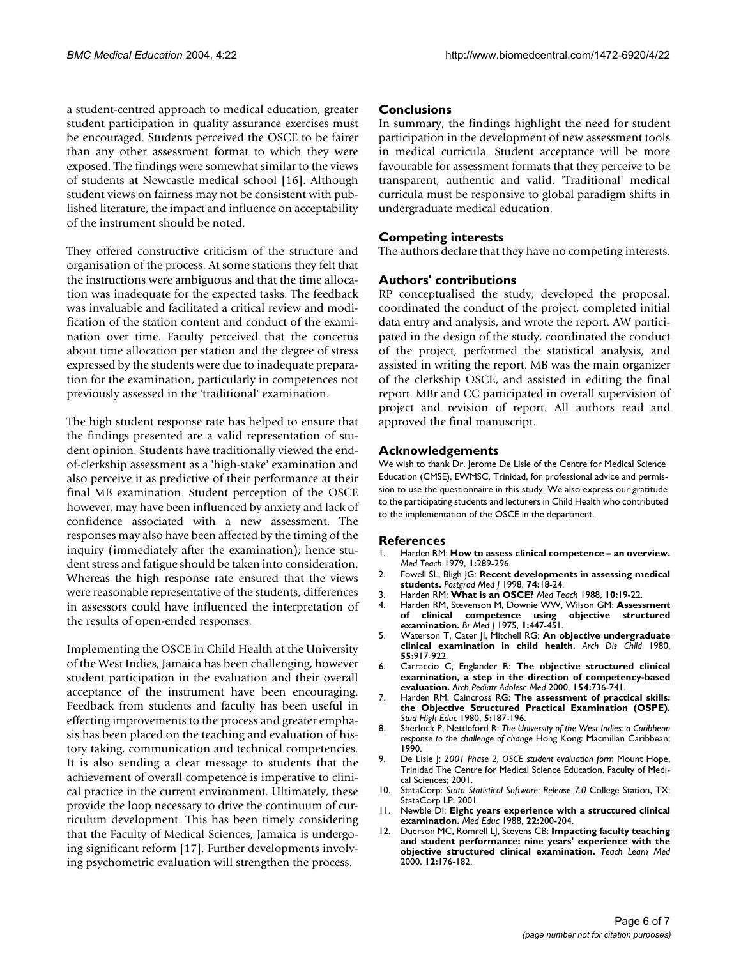a student-centred approach to medical education, greater student participation in quality assurance exercises must be encouraged. Students perceived the OSCE to be fairer than any other assessment format to which they were exposed. The findings were somewhat similar to the views of students at Newcastle medical school [16]. Although student views on fairness may not be consistent with published literature, the impact and influence on acceptability of the instrument should be noted.

They offered constructive criticism of the structure and organisation of the process. At some stations they felt that the instructions were ambiguous and that the time allocation was inadequate for the expected tasks. The feedback was invaluable and facilitated a critical review and modification of the station content and conduct of the examination over time. Faculty perceived that the concerns about time allocation per station and the degree of stress expressed by the students were due to inadequate preparation for the examination, particularly in competences not previously assessed in the 'traditional' examination.

The high student response rate has helped to ensure that the findings presented are a valid representation of student opinion. Students have traditionally viewed the endof-clerkship assessment as a 'high-stake' examination and also perceive it as predictive of their performance at their final MB examination. Student perception of the OSCE however, may have been influenced by anxiety and lack of confidence associated with a new assessment. The responses may also have been affected by the timing of the inquiry (immediately after the examination); hence student stress and fatigue should be taken into consideration. Whereas the high response rate ensured that the views were reasonable representative of the students, differences in assessors could have influenced the interpretation of the results of open-ended responses.

Implementing the OSCE in Child Health at the University of the West Indies, Jamaica has been challenging, however student participation in the evaluation and their overall acceptance of the instrument have been encouraging. Feedback from students and faculty has been useful in effecting improvements to the process and greater emphasis has been placed on the teaching and evaluation of history taking, communication and technical competencies. It is also sending a clear message to students that the achievement of overall competence is imperative to clinical practice in the current environment. Ultimately, these provide the loop necessary to drive the continuum of curriculum development. This has been timely considering that the Faculty of Medical Sciences, Jamaica is undergoing significant reform [17]. Further developments involving psychometric evaluation will strengthen the process.

#### **Conclusions**

In summary, the findings highlight the need for student participation in the development of new assessment tools in medical curricula. Student acceptance will be more favourable for assessment formats that they perceive to be transparent, authentic and valid. 'Traditional' medical curricula must be responsive to global paradigm shifts in undergraduate medical education.

#### **Competing interests**

The authors declare that they have no competing interests.

#### **Authors' contributions**

RP conceptualised the study; developed the proposal, coordinated the conduct of the project, completed initial data entry and analysis, and wrote the report. AW participated in the design of the study, coordinated the conduct of the project, performed the statistical analysis, and assisted in writing the report. MB was the main organizer of the clerkship OSCE, and assisted in editing the final report. MBr and CC participated in overall supervision of project and revision of report. All authors read and approved the final manuscript.

#### **Acknowledgements**

We wish to thank Dr. Jerome De Lisle of the Centre for Medical Science Education (CMSE), EWMSC, Trinidad, for professional advice and permission to use the questionnaire in this study. We also express our gratitude to the participating students and lecturers in Child Health who contributed to the implementation of the OSCE in the department.

#### **References**

- 1. Harden RM: **How to assess clinical competence an overview.** *Med Teach* 1979, **1:**289-296.
- 2. Fowell SL, Bligh JG: **[Recent developments in assessing medical](http://www.ncbi.nlm.nih.gov/entrez/query.fcgi?cmd=Retrieve&db=PubMed&dopt=Abstract&list_uids=9538481) [students.](http://www.ncbi.nlm.nih.gov/entrez/query.fcgi?cmd=Retrieve&db=PubMed&dopt=Abstract&list_uids=9538481)** *Postgrad Med J* 1998, **74:**18-24.
- 3. Harden RM: **[What is an OSCE?](http://www.ncbi.nlm.nih.gov/entrez/query.fcgi?cmd=Retrieve&db=PubMed&dopt=Abstract&list_uids=3221760)** *Med Teach* 1988, **10:**19-22.
- 4. Harden RM, Stevenson M, Downie WW, Wilson GM: **[Assessment](http://www.ncbi.nlm.nih.gov/entrez/query.fcgi?cmd=Retrieve&db=PubMed&dopt=Abstract&list_uids=1115966)** clinical competence using **[examination.](http://www.ncbi.nlm.nih.gov/entrez/query.fcgi?cmd=Retrieve&db=PubMed&dopt=Abstract&list_uids=1115966)** *Br Med J* 1975, **1:**447-451.
- 5. Waterson T, Cater JI, Mitchell RG: **[An objective undergraduate](http://www.ncbi.nlm.nih.gov/entrez/query.fcgi?cmd=Retrieve&db=PubMed&dopt=Abstract&list_uids=7458391) [clinical examination in child health.](http://www.ncbi.nlm.nih.gov/entrez/query.fcgi?cmd=Retrieve&db=PubMed&dopt=Abstract&list_uids=7458391)** *Arch Dis Child* 1980, **55:**917-922.
- 6. Carraccio C, Englander R: **[The objective structured clinical](http://www.ncbi.nlm.nih.gov/entrez/query.fcgi?cmd=Retrieve&db=PubMed&dopt=Abstract&list_uids=10891028) [examination, a step in the direction of competency-based](http://www.ncbi.nlm.nih.gov/entrez/query.fcgi?cmd=Retrieve&db=PubMed&dopt=Abstract&list_uids=10891028) [evaluation.](http://www.ncbi.nlm.nih.gov/entrez/query.fcgi?cmd=Retrieve&db=PubMed&dopt=Abstract&list_uids=10891028)** *Arch Pediatr Adolesc Med* 2000, **154:**736-741.
- 7. Harden RM, Caincross RG: **The assessment of practical skills: the Objective Structured Practical Examination (OSPE).** *Stud High Educ* 1980, **5:**187-196.
- 8. Sherlock P, Nettleford R: *The University of the West Indies: a Caribbean response to the challenge of change* Hong Kong: Macmillan Caribbean; 1990.
- 9. De Lisle J: *2001 Phase 2, OSCE student evaluation form* Mount Hope, Trinidad The Centre for Medical Science Education, Faculty of Medical Sciences; 2001.
- 10. StataCorp: *Stata Statistical Software: Release 7.0* College Station, TX: StataCorp LP; 2001.
- 11. Newble DI: **[Eight years experience with a structured clinical](http://www.ncbi.nlm.nih.gov/entrez/query.fcgi?cmd=Retrieve&db=PubMed&dopt=Abstract&list_uids=3405114) [examination.](http://www.ncbi.nlm.nih.gov/entrez/query.fcgi?cmd=Retrieve&db=PubMed&dopt=Abstract&list_uids=3405114)** *Med Educ* 1988, **22:**200-204.
- 12. Duerson MC, Romrell LJ, Stevens CB: **[Impacting faculty teaching](http://www.ncbi.nlm.nih.gov/entrez/query.fcgi?cmd=Retrieve&db=PubMed&dopt=Abstract&list_uids=11273366) [and student performance: nine years' experience with the](http://www.ncbi.nlm.nih.gov/entrez/query.fcgi?cmd=Retrieve&db=PubMed&dopt=Abstract&list_uids=11273366) [objective structured clinical examination.](http://www.ncbi.nlm.nih.gov/entrez/query.fcgi?cmd=Retrieve&db=PubMed&dopt=Abstract&list_uids=11273366)** *Teach Learn Med* 2000, **12:**176-182.